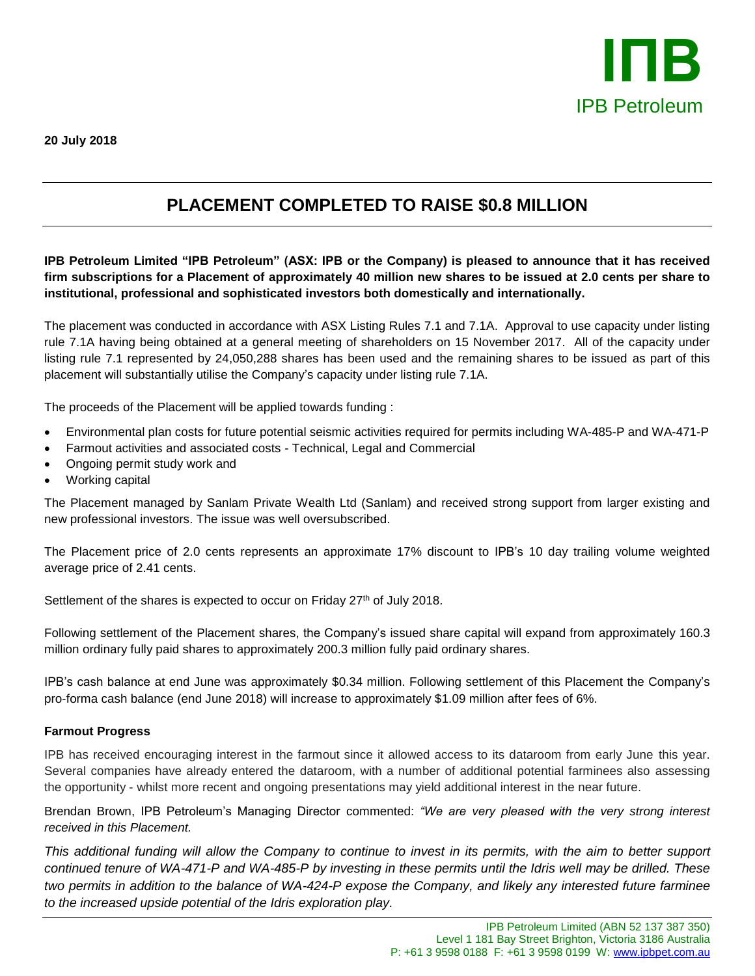

## **PLACEMENT COMPLETED TO RAISE \$0.8 MILLION**

**IPB Petroleum Limited "IPB Petroleum" (ASX: IPB or the Company) is pleased to announce that it has received firm subscriptions for a Placement of approximately 40 million new shares to be issued at 2.0 cents per share to institutional, professional and sophisticated investors both domestically and internationally.**

The placement was conducted in accordance with ASX Listing Rules 7.1 and 7.1A. Approval to use capacity under listing rule 7.1A having being obtained at a general meeting of shareholders on 15 November 2017. All of the capacity under listing rule 7.1 represented by 24,050,288 shares has been used and the remaining shares to be issued as part of this placement will substantially utilise the Company's capacity under listing rule 7.1A.

The proceeds of the Placement will be applied towards funding :

- Environmental plan costs for future potential seismic activities required for permits including WA-485-P and WA-471-P
- Farmout activities and associated costs Technical, Legal and Commercial
- Ongoing permit study work and
- Working capital

The Placement managed by Sanlam Private Wealth Ltd (Sanlam) and received strong support from larger existing and new professional investors. The issue was well oversubscribed.

The Placement price of 2.0 cents represents an approximate 17% discount to IPB's 10 day trailing volume weighted average price of 2.41 cents.

Settlement of the shares is expected to occur on Friday 27<sup>th</sup> of July 2018.

Following settlement of the Placement shares, the Company's issued share capital will expand from approximately 160.3 million ordinary fully paid shares to approximately 200.3 million fully paid ordinary shares.

IPB's cash balance at end June was approximately \$0.34 million. Following settlement of this Placement the Company's pro-forma cash balance (end June 2018) will increase to approximately \$1.09 million after fees of 6%.

## **Farmout Progress**

IPB has received encouraging interest in the farmout since it allowed access to its dataroom from early June this year. Several companies have already entered the dataroom, with a number of additional potential farminees also assessing the opportunity - whilst more recent and ongoing presentations may yield additional interest in the near future.

Brendan Brown, IPB Petroleum's Managing Director commented: *"We are very pleased with the very strong interest received in this Placement.* 

*This additional funding will allow the Company to continue to invest in its permits, with the aim to better support continued tenure of WA-471-P and WA-485-P by investing in these permits until the Idris well may be drilled. These two permits in addition to the balance of WA-424-P expose the Company, and likely any interested future farminee to the increased upside potential of the Idris exploration play.*